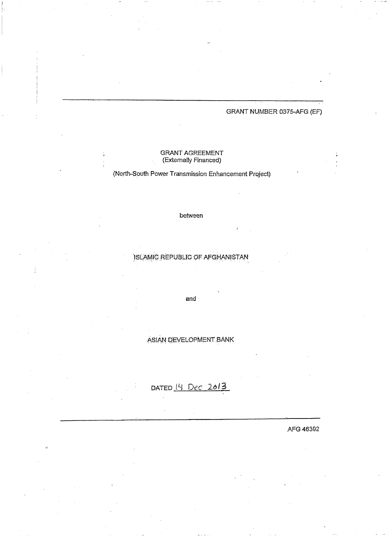## GRANT NUMBER 0375-AFG (EF)

#### **GRANT AGREEMENT** (Externally Financed)

## (North-South Power Transmission Enhancement Project)

#### between

ISLAMIC REPUBLIC OF AFGHANISTAN

and

ASIAN DEVELOPMENT BANK

DATED 14 Dec 2013

AFG 46392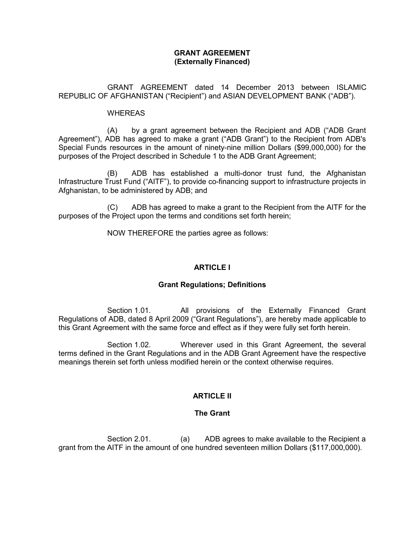### **GRANT AGREEMENT (Externally Financed)**

 GRANT AGREEMENT dated 14 December 2013 between ISLAMIC REPUBLIC OF AFGHANISTAN ("Recipient") and ASIAN DEVELOPMENT BANK ("ADB").

#### WHEREAS

(A) by a grant agreement between the Recipient and ADB ("ADB Grant Agreement"), ADB has agreed to make a grant ("ADB Grant") to the Recipient from ADB's Special Funds resources in the amount of ninety-nine million Dollars (\$99,000,000) for the purposes of the Project described in Schedule 1 to the ADB Grant Agreement;

(B) ADB has established a multi-donor trust fund, the Afghanistan Infrastructure Trust Fund ("AITF"), to provide co-financing support to infrastructure projects in Afghanistan, to be administered by ADB; and

 (C) ADB has agreed to make a grant to the Recipient from the AITF for the purposes of the Project upon the terms and conditions set forth herein;

NOW THEREFORE the parties agree as follows:

## **ARTICLE I**

#### **Grant Regulations; Definitions**

Section 1.01. All provisions of the Externally Financed Grant Regulations of ADB, dated 8 April 2009 ("Grant Regulations"), are hereby made applicable to this Grant Agreement with the same force and effect as if they were fully set forth herein.

Section 1.02. Wherever used in this Grant Agreement, the several terms defined in the Grant Regulations and in the ADB Grant Agreement have the respective meanings therein set forth unless modified herein or the context otherwise requires.

## **ARTICLE II**

#### **The Grant**

Section 2.01. (a) ADB agrees to make available to the Recipient a grant from the AITF in the amount of one hundred seventeen million Dollars (\$117,000,000).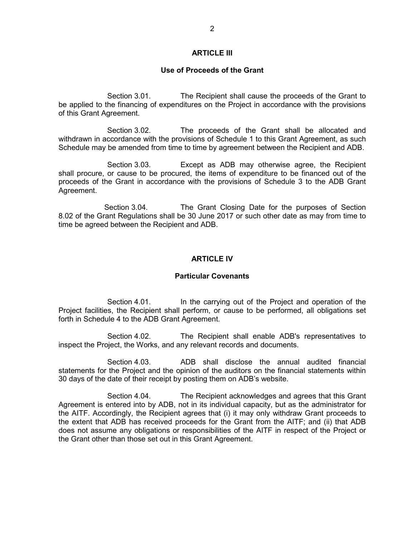### **ARTICLE III**

#### **Use of Proceeds of the Grant**

Section 3.01. The Recipient shall cause the proceeds of the Grant to be applied to the financing of expenditures on the Project in accordance with the provisions of this Grant Agreement.

Section 3.02. The proceeds of the Grant shall be allocated and withdrawn in accordance with the provisions of Schedule 1 to this Grant Agreement, as such Schedule may be amended from time to time by agreement between the Recipient and ADB.

Section 3.03. Except as ADB may otherwise agree, the Recipient shall procure, or cause to be procured, the items of expenditure to be financed out of the proceeds of the Grant in accordance with the provisions of Schedule 3 to the ADB Grant Agreement.

Section 3.04. The Grant Closing Date for the purposes of Section 8.02 of the Grant Regulations shall be 30 June 2017 or such other date as may from time to time be agreed between the Recipient and ADB.

#### **ARTICLE IV**

#### **Particular Covenants**

Section 4.01. In the carrying out of the Project and operation of the Project facilities, the Recipient shall perform, or cause to be performed, all obligations set forth in Schedule 4 to the ADB Grant Agreement.

 Section 4.02. The Recipient shall enable ADB's representatives to inspect the Project, the Works, and any relevant records and documents.

Section 4.03. ADB shall disclose the annual audited financial statements for the Project and the opinion of the auditors on the financial statements within 30 days of the date of their receipt by posting them on ADB's website.

Section 4.04. The Recipient acknowledges and agrees that this Grant Agreement is entered into by ADB, not in its individual capacity, but as the administrator for the AITF. Accordingly, the Recipient agrees that (i) it may only withdraw Grant proceeds to the extent that ADB has received proceeds for the Grant from the AITF; and (ii) that ADB does not assume any obligations or responsibilities of the AITF in respect of the Project or the Grant other than those set out in this Grant Agreement.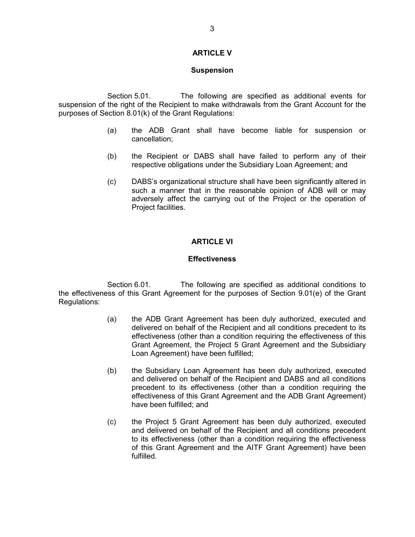## **ARTICLE V**

#### **Suspension**

Section 5.01. The following are specified as additional events for suspension of the right of the Recipient to make withdrawals from the Grant Account for the purposes of Section 8.01(k) of the Grant Regulations:

- (a) the ADB Grant shall have become liable for suspension or cancellation;
- (b) the Recipient or DABS shall have failed to perform any of their respective obligations under the Subsidiary Loan Agreement; and
- (c) DABS's organizational structure shall have been significantly altered in such a manner that in the reasonable opinion of ADB will or may adversely affect the carrying out of the Project or the operation of Project facilities.

#### **ARTICLE VI**

#### **Effectiveness**

Section 6.01. The following are specified as additional conditions to the effectiveness of this Grant Agreement for the purposes of Section 9.01(e) of the Grant Regulations:

- (a) the ADB Grant Agreement has been duly authorized, executed and delivered on behalf of the Recipient and all conditions precedent to its effectiveness (other than a condition requiring the effectiveness of this Grant Agreement, the Project 5 Grant Agreement and the Subsidiary Loan Agreement) have been fulfilled;
- (b) the Subsidiary Loan Agreement has been duly authorized, executed and delivered on behalf of the Recipient and DABS and all conditions precedent to its effectiveness (other than a condition requiring the effectiveness of this Grant Agreement and the ADB Grant Agreement) have been fulfilled; and
- (c) the Project 5 Grant Agreement has been duly authorized, executed and delivered on behalf of the Recipient and all conditions precedent to its effectiveness (other than a condition requiring the effectiveness of this Grant Agreement and the AITF Grant Agreement) have been fulfilled.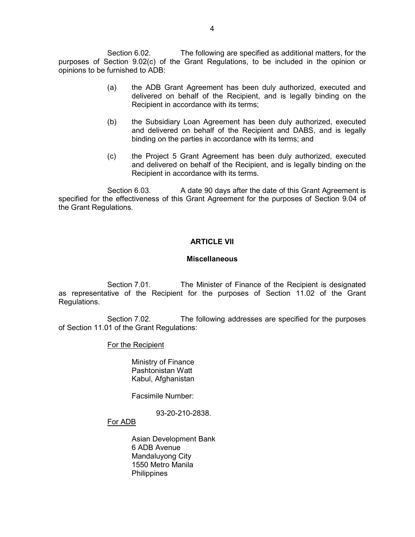Section 6.02. The following are specified as additional matters, for the purposes of Section 9.02(c) of the Grant Regulations, to be included in the opinion or opinions to be furnished to ADB:

- (a) the ADB Grant Agreement has been duly authorized, executed and delivered on behalf of the Recipient, and is legally binding on the Recipient in accordance with its terms;
- (b) the Subsidiary Loan Agreement has been duly authorized, executed and delivered on behalf of the Recipient and DABS, and is legally binding on the parties in accordance with its terms; and
- (c) the Project 5 Grant Agreement has been duly authorized, executed and delivered on behalf of the Recipient, and is legally binding on the Recipient in accordance with its terms.

Section 6.03. A date 90 days after the date of this Grant Agreement is specified for the effectiveness of this Grant Agreement for the purposes of Section 9.04 of the Grant Regulations.

#### **ARTICLE VII**

#### **Miscellaneous**

Section 7.01. The Minister of Finance of the Recipient is designated as representative of the Recipient for the purposes of Section 11.02 of the Grant Regulations.

Section 7.02. The following addresses are specified for the purposes of Section 11.01 of the Grant Regulations:

#### For the Recipient

 Ministry of Finance Pashtonistan Watt Kabul, Afghanistan

Facsimile Number:

93-20-210-2838.

# For ADB

 Asian Development Bank 6 ADB Avenue Mandaluyong City 1550 Metro Manila **Philippines**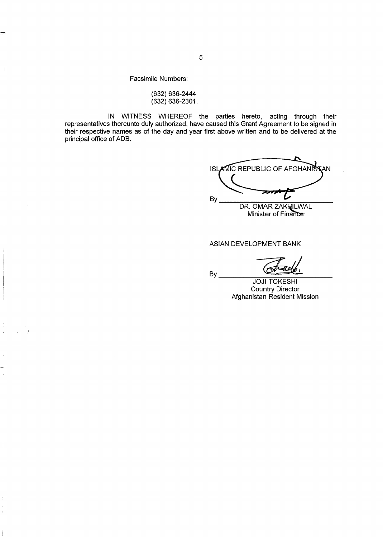Facsimile Numbers:

 $\begin{array}{c} \hline \end{array}$ 

(632) 636-2444  $(632)$  636-2301.

IN WITNESS WHEREOF the parties hereto, acting through their<br>representatives thereunto duly authorized, have caused this Grant Agreement to be signed in<br>their respective names as of the day and year first above written and principal office of ADB.

By

**ISLAMIC REPUBLIC OF AFGHANK** AN: By DR. OMAR ZAKHILWAL

Minister of Finance-

#### **ASIAN DEVELOPMENT BANK**

**JOJI TOKESHI** Country Director<br>Afghanistan Resident Mission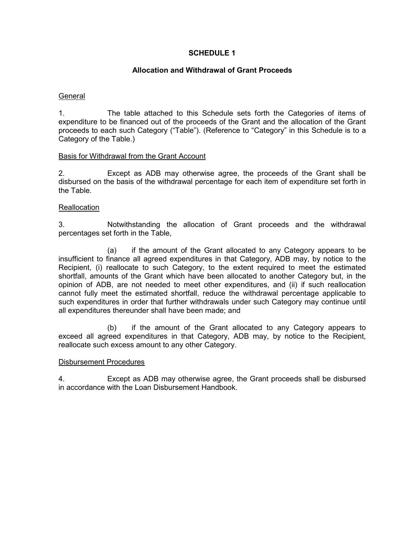## **SCHEDULE 1**

## **Allocation and Withdrawal of Grant Proceeds**

### **General**

1. The table attached to this Schedule sets forth the Categories of items of expenditure to be financed out of the proceeds of the Grant and the allocation of the Grant proceeds to each such Category ("Table"). (Reference to "Category" in this Schedule is to a Category of the Table.)

## Basis for Withdrawal from the Grant Account

2. Except as ADB may otherwise agree, the proceeds of the Grant shall be disbursed on the basis of the withdrawal percentage for each item of expenditure set forth in the Table.

## **Reallocation**

3. Notwithstanding the allocation of Grant proceeds and the withdrawal percentages set forth in the Table,

 (a) if the amount of the Grant allocated to any Category appears to be insufficient to finance all agreed expenditures in that Category, ADB may, by notice to the Recipient, (i) reallocate to such Category, to the extent required to meet the estimated shortfall, amounts of the Grant which have been allocated to another Category but, in the opinion of ADB, are not needed to meet other expenditures, and (ii) if such reallocation cannot fully meet the estimated shortfall, reduce the withdrawal percentage applicable to such expenditures in order that further withdrawals under such Category may continue until all expenditures thereunder shall have been made; and

 (b) if the amount of the Grant allocated to any Category appears to exceed all agreed expenditures in that Category, ADB may, by notice to the Recipient, reallocate such excess amount to any other Category.

#### Disbursement Procedures

4. Except as ADB may otherwise agree, the Grant proceeds shall be disbursed in accordance with the Loan Disbursement Handbook.